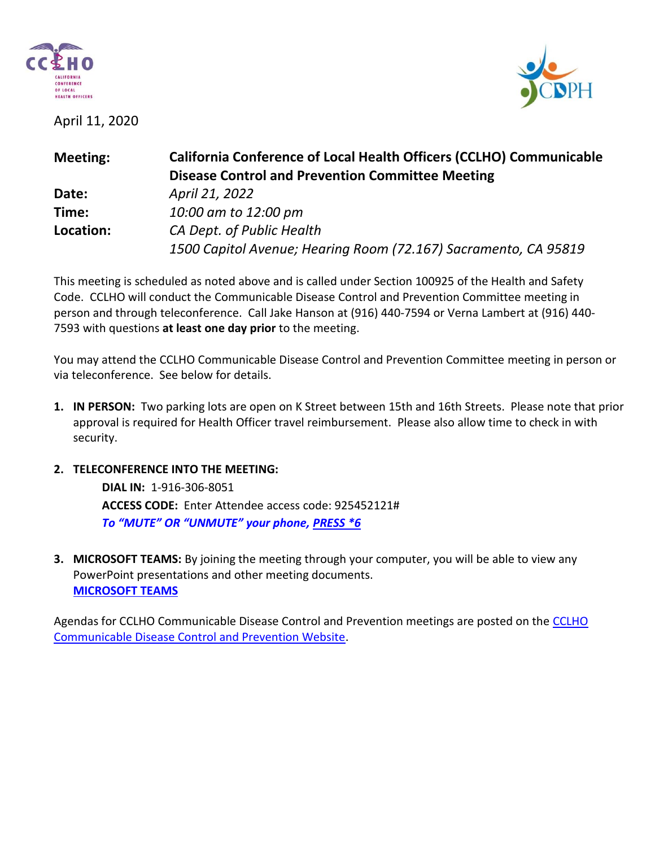

April 11, 2020



| <b>California Conference of Local Health Officers (CCLHO) Communicable</b><br><b>Disease Control and Prevention Committee Meeting</b> |
|---------------------------------------------------------------------------------------------------------------------------------------|
| April 21, 2022                                                                                                                        |
| 10:00 am to 12:00 pm                                                                                                                  |
| CA Dept. of Public Health<br>1500 Capitol Avenue; Hearing Room (72.167) Sacramento, CA 95819                                          |
|                                                                                                                                       |

This meeting is scheduled as noted above and is called under Section 100925 of the Health and Safety Code. CCLHO will conduct the Communicable Disease Control and Prevention Committee meeting in person and through teleconference. Call Jake Hanson at (916) 440-7594 or Verna Lambert at (916) 440- 7593 with questions **at least one day prior** to the meeting.

You may attend the CCLHO Communicable Disease Control and Prevention Committee meeting in person or via teleconference. See below for details.

- **1. IN PERSON:** Two parking lots are open on K Street between 15th and 16th Streets. Please note that prior approval is required for Health Officer travel reimbursement. Please also allow time to check in with security.
- **2. TELECONFERENCE INTO THE MEETING:**

**DIAL IN:** 1-916-306-8051 **ACCESS CODE:** Enter Attendee access code: 925452121# *To "MUTE" OR "UNMUTE" your phone, PRESS \*6*

**3. MICROSOFT TEAMS:** By joining the meeting through your computer, you will be able to view any PowerPoint presentations and other meeting documents. **[MICROSOFT TEAMS](https://teams.microsoft.com/l/meetup-join/19%3ameeting_NGQ3YTAyZGEtMDliNS00NTQ4LWI0YjctNGRmMzA3YTUzM2E2%40thread.v2/0?context=%7b%22Tid%22%3a%221f311b51-f6d9-4153-9bac-55e0ef9641b8%22%2c%22Oid%22%3a%22dbd67039-3dc6-4be3-b387-6cf4515f5d07%22%7d)**

Agendas for CCLHO Communicable Disease Control and Prevention meetings are posted on the [CCLHO](https://www.cdph.ca.gov/Programs/CCLHO/Pages/CommunicableDiseaseControlAndPrevention.aspx)  [Communicable Disease Control and Prevention Website.](https://www.cdph.ca.gov/Programs/CCLHO/Pages/CommunicableDiseaseControlAndPrevention.aspx)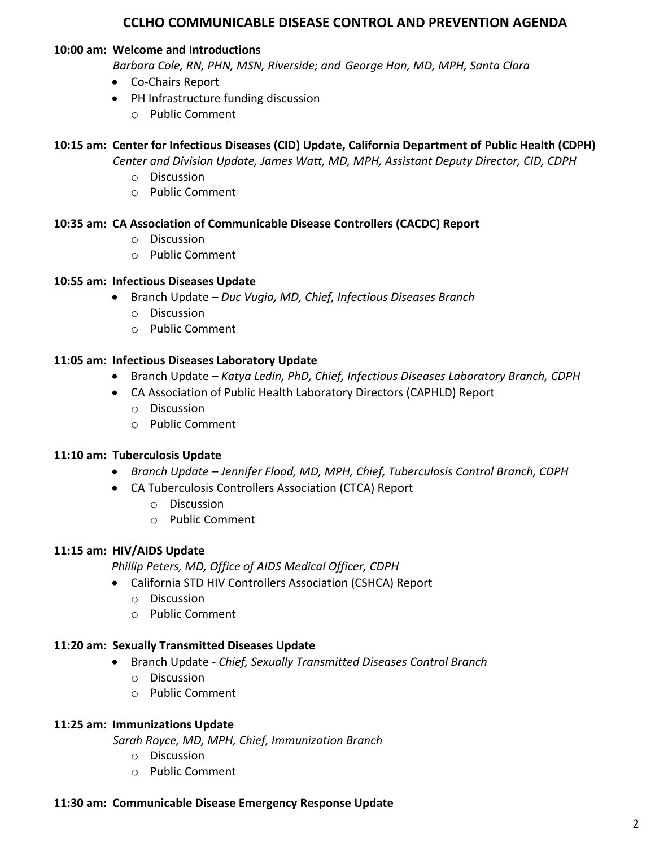# **CCLHO COMMUNICABLE DISEASE CONTROL AND PREVENTION AGENDA**

#### **10:00 am: Welcome and Introductions**

 *Barbara Cole, RN, PHN, MSN, Riverside; and George Han, MD, MPH, Santa Clara*

- Co-Chairs Report
- PH Infrastructure funding discussion
	- o Public Comment

# **10:15 am: Center for Infectious Diseases (CID) Update, California Department of Public Health (CDPH)**

*Center and Division Update, James Watt, MD, MPH, Assistant Deputy Director, CID, CDPH*

- o Discussion
- o Public Comment

# **10:35 am: CA Association of Communicable Disease Controllers (CACDC) Report**

- o Discussion
- o Public Comment

#### **10:55 am: Infectious Diseases Update**

- Branch Update *Duc Vugia, MD, Chief, Infectious Diseases Branch* 
	- o Discussion
	- o Public Comment

# **11:05 am: Infectious Diseases Laboratory Update**

- Branch Update *Katya Ledin, PhD, Chief, Infectious Diseases Laboratory Branch, CDPH*
- CA Association of Public Health Laboratory Directors (CAPHLD) Report
	- o Discussion
	- o Public Comment

#### **11:10 am: Tuberculosis Update**

- *Branch Update – Jennifer Flood, MD, MPH, Chief, Tuberculosis Control Branch, CDPH*
- CA Tuberculosis Controllers Association (CTCA) Report
	- o Discussion
	- o Public Comment

#### **11:15 am: HIV/AIDS Update**

*Phillip Peters, MD, Office of AIDS Medical Officer, CDPH*

- California STD HIV Controllers Association (CSHCA) Report
	- o Discussion
	- o Public Comment

#### **11:20 am: Sexually Transmitted Diseases Update**

- Branch Update *Chief, Sexually Transmitted Diseases Control Branch*
	- o Discussion
	- o Public Comment

#### **11:25 am: Immunizations Update**

 *Sarah Royce, MD, MPH, Chief, Immunization Branch*

- o Discussion
- o Public Comment

#### **11:30 am: Communicable Disease Emergency Response Update**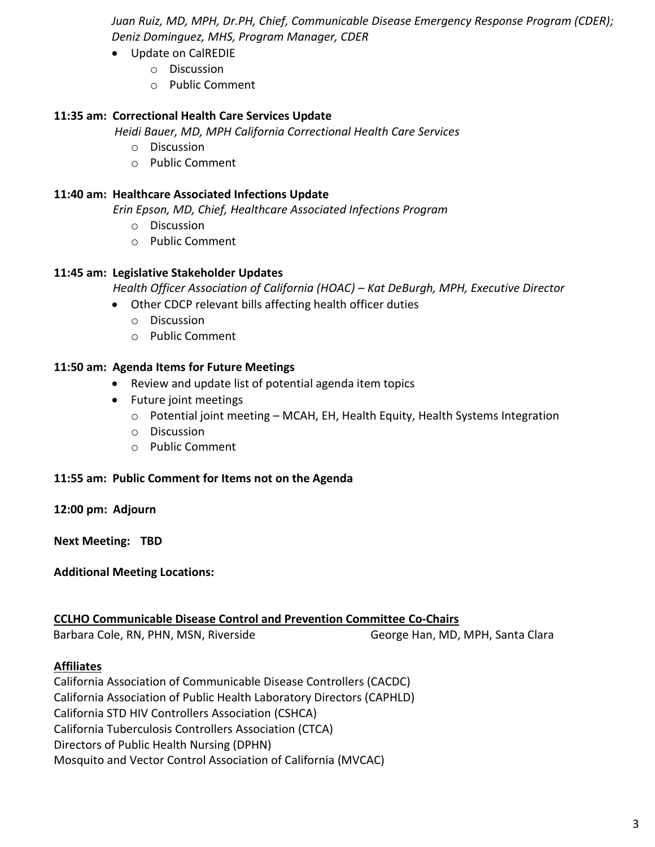*Juan Ruiz, MD, MPH, Dr.PH, Chief, Communicable Disease Emergency Response Program (CDER); Deniz Dominguez, MHS, Program Manager, CDER*

- Update on CalREDIE
	- o Discussion
	- o Public Comment

# **11:35 am: Correctional Health Care Services Update**

*Heidi Bauer, MD, MPH California Correctional Health Care Services*

- o Discussion
- o Public Comment

#### **11:40 am: Healthcare Associated Infections Update**

 *Erin Epson, MD, Chief, Healthcare Associated Infections Program*

- o Discussion
- o Public Comment

# **11:45 am: Legislative Stakeholder Updates**

 *Health Officer Association of California (HOAC) – Kat DeBurgh, MPH, Executive Director*

- Other CDCP relevant bills affecting health officer duties
	- o Discussion
	- o Public Comment

# **11:50 am: Agenda Items for Future Meetings**

- Review and update list of potential agenda item topics
- Future joint meetings
	- $\circ$  Potential joint meeting MCAH, EH, Health Equity, Health Systems Integration
	- o Discussion
	- o Public Comment

#### **11:55 am: Public Comment for Items not on the Agenda**

**12:00 pm: Adjourn**

**Next Meeting: TBD**

**Additional Meeting Locations:**

#### **CCLHO Communicable Disease Control and Prevention Committee Co-Chairs**

Barbara Cole, RN, PHN, MSN, Riverside George Han, MD, MPH, Santa Clara

#### **Affiliates**

California Association of Communicable Disease Controllers (CACDC) California Association of Public Health Laboratory Directors (CAPHLD) California STD HIV Controllers Association (CSHCA) California Tuberculosis Controllers Association (CTCA) Directors of Public Health Nursing (DPHN) Mosquito and Vector Control Association of California (MVCAC)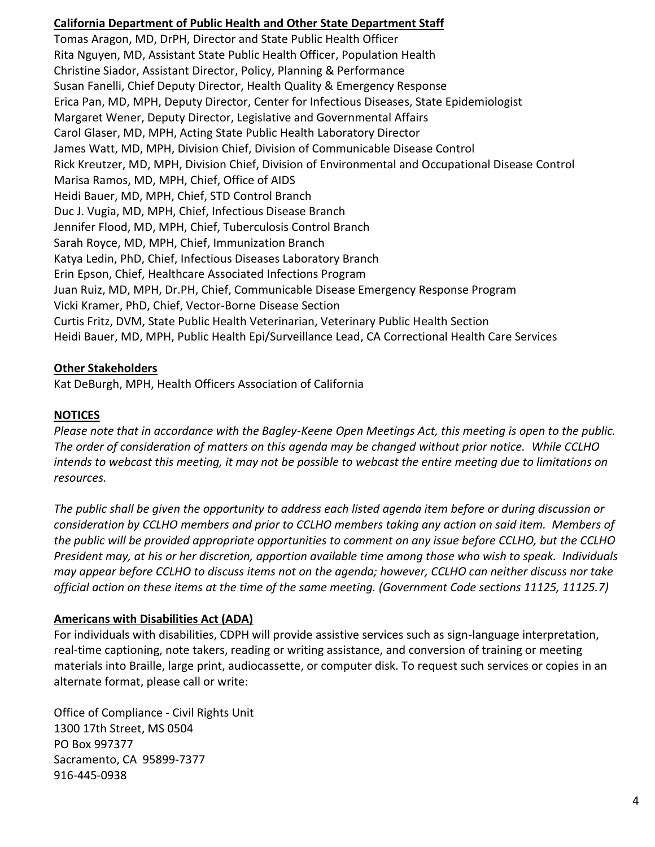# **California Department of Public Health and Other State Department Staff**

Tomas Aragon, MD, DrPH, Director and State Public Health Officer Rita Nguyen, MD, Assistant State Public Health Officer, Population Health Christine Siador, Assistant Director, Policy, Planning & Performance Susan Fanelli, Chief Deputy Director, Health Quality & Emergency Response Erica Pan, MD, MPH, Deputy Director, Center for Infectious Diseases, State Epidemiologist Margaret Wener, Deputy Director, Legislative and Governmental Affairs Carol Glaser, MD, MPH, Acting State Public Health Laboratory Director James Watt, MD, MPH, Division Chief, Division of Communicable Disease Control Rick Kreutzer, MD, MPH, Division Chief, Division of Environmental and Occupational Disease Control Marisa Ramos, MD, MPH, Chief, Office of AIDS Heidi Bauer, MD, MPH, Chief, STD Control Branch Duc J. Vugia, MD, MPH, Chief, Infectious Disease Branch Jennifer Flood, MD, MPH, Chief, Tuberculosis Control Branch Sarah Royce, MD, MPH, Chief, Immunization Branch Katya Ledin, PhD, Chief, Infectious Diseases Laboratory Branch Erin Epson, Chief, Healthcare Associated Infections Program Juan Ruiz, MD, MPH, Dr.PH, Chief, Communicable Disease Emergency Response Program Vicki Kramer, PhD, Chief, Vector-Borne Disease Section Curtis Fritz, DVM, State Public Health Veterinarian, Veterinary Public Health Section Heidi Bauer, MD, MPH, Public Health Epi/Surveillance Lead, CA Correctional Health Care Services

# **Other Stakeholders**

Kat DeBurgh, MPH, Health Officers Association of California

# **NOTICES**

*Please note that in accordance with the Bagley-Keene Open Meetings Act, this meeting is open to the public. The order of consideration of matters on this agenda may be changed without prior notice. While CCLHO intends to webcast this meeting, it may not be possible to webcast the entire meeting due to limitations on resources.*

*The public shall be given the opportunity to address each listed agenda item before or during discussion or consideration by CCLHO members and prior to CCLHO members taking any action on said item. Members of the public will be provided appropriate opportunities to comment on any issue before CCLHO, but the CCLHO President may, at his or her discretion, apportion available time among those who wish to speak. Individuals may appear before CCLHO to discuss items not on the agenda; however, CCLHO can neither discuss nor take official action on these items at the time of the same meeting. (Government Code sections 11125, 11125.7)*

#### **Americans with Disabilities Act (ADA)**

For individuals with disabilities, CDPH will provide assistive services such as sign-language interpretation, real-time captioning, note takers, reading or writing assistance, and conversion of training or meeting materials into Braille, large print, audiocassette, or computer disk. To request such services or copies in an alternate format, please call or write:

Office of Compliance - Civil Rights Unit 1300 17th Street, MS 0504 PO Box 997377 Sacramento, CA 95899-7377 916-445-0938